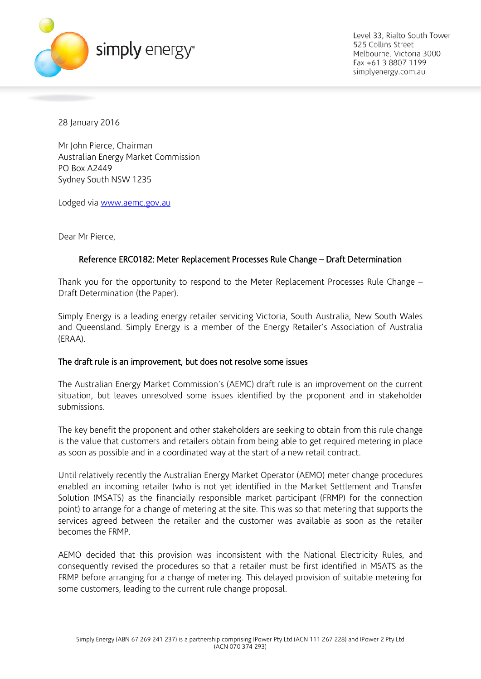

Level 33, Rialto South Tower 525 Collins Street Melbourne, Victoria 3000 Fax +61 3 8807 1199 simplyenergy.com.au

28 January 2016

Mr John Pierce, Chairman Australian Energy Market Commission PO Box A2449 Sydney South NSW 1235

Lodged via [www.aemc.gov.au](http://www.aemc.gov.au/)

Dear Mr Pierce,

## Reference ERC0182: Meter Replacement Processes Rule Change – Draft Determination

Thank you for the opportunity to respond to the Meter Replacement Processes Rule Change – Draft Determination (the Paper).

Simply Energy is a leading energy retailer servicing Victoria, South Australia, New South Wales and Queensland. Simply Energy is a member of the Energy Retailer's Association of Australia (ERAA).

## The draft rule is an improvement, but does not resolve some issues

The Australian Energy Market Commission's (AEMC) draft rule is an improvement on the current situation, but leaves unresolved some issues identified by the proponent and in stakeholder submissions.

The key benefit the proponent and other stakeholders are seeking to obtain from this rule change is the value that customers and retailers obtain from being able to get required metering in place as soon as possible and in a coordinated way at the start of a new retail contract.

Until relatively recently the Australian Energy Market Operator (AEMO) meter change procedures enabled an incoming retailer (who is not yet identified in the Market Settlement and Transfer Solution (MSATS) as the financially responsible market participant (FRMP) for the connection point) to arrange for a change of metering at the site. This was so that metering that supports the services agreed between the retailer and the customer was available as soon as the retailer becomes the FRMP.

AEMO decided that this provision was inconsistent with the National Electricity Rules, and consequently revised the procedures so that a retailer must be first identified in MSATS as the FRMP before arranging for a change of metering. This delayed provision of suitable metering for some customers, leading to the current rule change proposal.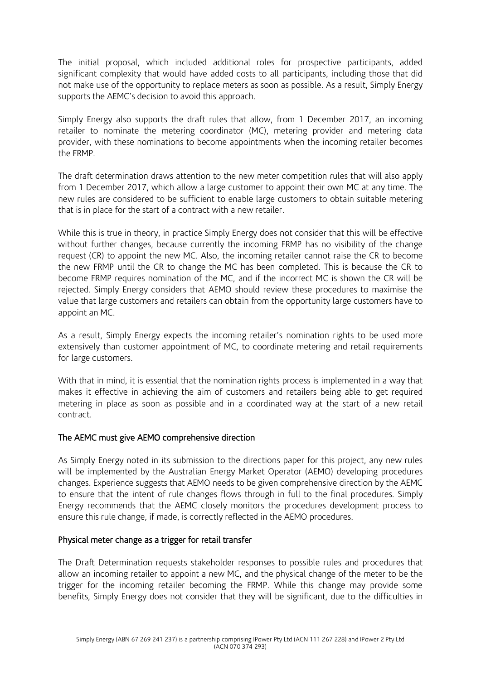The initial proposal, which included additional roles for prospective participants, added significant complexity that would have added costs to all participants, including those that did not make use of the opportunity to replace meters as soon as possible. As a result, Simply Energy supports the AEMC's decision to avoid this approach.

Simply Energy also supports the draft rules that allow, from 1 December 2017, an incoming retailer to nominate the metering coordinator (MC), metering provider and metering data provider, with these nominations to become appointments when the incoming retailer becomes the FRMP.

The draft determination draws attention to the new meter competition rules that will also apply from 1 December 2017, which allow a large customer to appoint their own MC at any time. The new rules are considered to be sufficient to enable large customers to obtain suitable metering that is in place for the start of a contract with a new retailer.

While this is true in theory, in practice Simply Energy does not consider that this will be effective without further changes, because currently the incoming FRMP has no visibility of the change request (CR) to appoint the new MC. Also, the incoming retailer cannot raise the CR to become the new FRMP until the CR to change the MC has been completed. This is because the CR to become FRMP requires nomination of the MC, and if the incorrect MC is shown the CR will be rejected. Simply Energy considers that AEMO should review these procedures to maximise the value that large customers and retailers can obtain from the opportunity large customers have to appoint an MC.

As a result, Simply Energy expects the incoming retailer's nomination rights to be used more extensively than customer appointment of MC, to coordinate metering and retail requirements for large customers.

With that in mind, it is essential that the nomination rights process is implemented in a way that makes it effective in achieving the aim of customers and retailers being able to get required metering in place as soon as possible and in a coordinated way at the start of a new retail contract.

## The AEMC must give AEMO comprehensive direction

As Simply Energy noted in its submission to the directions paper for this project, any new rules will be implemented by the Australian Energy Market Operator (AEMO) developing procedures changes. Experience suggests that AEMO needs to be given comprehensive direction by the AEMC to ensure that the intent of rule changes flows through in full to the final procedures. Simply Energy recommends that the AEMC closely monitors the procedures development process to ensure this rule change, if made, is correctly reflected in the AEMO procedures.

## Physical meter change as a trigger for retail transfer

The Draft Determination requests stakeholder responses to possible rules and procedures that allow an incoming retailer to appoint a new MC, and the physical change of the meter to be the trigger for the incoming retailer becoming the FRMP. While this change may provide some benefits, Simply Energy does not consider that they will be significant, due to the difficulties in